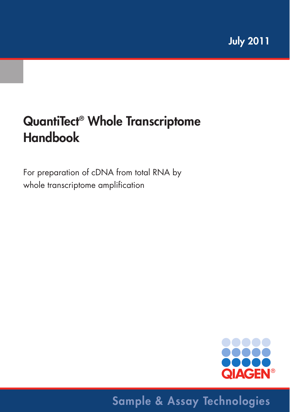# **QuantiTect® Whole Transcriptome Handbook**

For preparation of cDNA from total RNA by whole transcriptome amplification



# **Sample & Assay Technologies**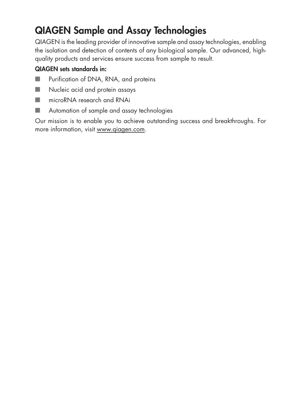### **QIAGEN Sample and Assay Technologies**

QIAGEN is the leading provider of innovative sample and assay technologies, enabling the isolation and detection of contents of any biological sample. Our advanced, highquality products and services ensure success from sample to result.

#### **QIAGEN sets standards in:**

- Purification of DNA, RNA, and proteins
- Nucleic acid and protein assays
- microRNA research and RNAi
- Automation of sample and assay technologies

Our mission is to enable you to achieve outstanding success and breakthroughs. For more information, visit www.qiagen.com.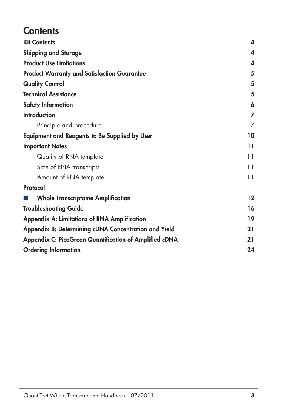### **Contents**

| <b>Kit Contents</b>                                           | 4       |
|---------------------------------------------------------------|---------|
| <b>Shipping and Storage</b>                                   | 4       |
| <b>Product Use Limitations</b>                                | 4       |
| <b>Product Warranty and Satisfaction Guarantee</b>            | 5       |
| <b>Quality Control</b>                                        | 5       |
| <b>Technical Assistance</b>                                   | 5       |
| <b>Safety Information</b>                                     | 6       |
| <b>Introduction</b>                                           | 7       |
| Principle and procedure                                       | 7       |
| <b>Equipment and Reagents to Be Supplied by User</b>          | 10      |
| <b>Important Notes</b>                                        | 11      |
| Quality of RNA template                                       | 11      |
| Size of RNA transcripts                                       | 11      |
| Amount of RNA template                                        | 11      |
| Protocol                                                      |         |
| <b>Whole Transcriptome Amplification</b>                      | $12 \,$ |
| <b>Troubleshooting Guide</b>                                  | 16      |
| <b>Appendix A: Limitations of RNA Amplification</b>           | 19      |
| Appendix B: Determining cDNA Concentration and Yield          | 21      |
| <b>Appendix C: PicoGreen Quantification of Amplified cDNA</b> | 21      |
| <b>Ordering Information</b>                                   | 24      |
|                                                               |         |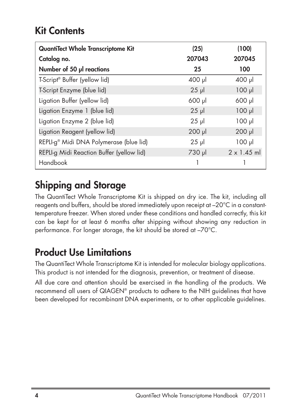### **Kit Contents**

| QuantiTect Whole Transcriptome Kit                  | (25)        | (100)              |
|-----------------------------------------------------|-------------|--------------------|
| Catalog no.                                         | 207043      | 207045             |
| Number of 50 µl reactions                           | 25          | 100                |
| T-Script <sup>®</sup> Buffer (yellow lid)           | $400$ $\mu$ | $400$ $\mu$        |
| T-Script Enzyme (blue lid)                          | $25$ µ      | $100$ $\mu$        |
| Ligation Buffer (yellow lid)                        | $600$ $\mu$ | 600 µl             |
| Ligation Enzyme 1 (blue lid)                        | $25$ µ      | $100$ $\mu$        |
| Ligation Enzyme 2 (blue lid)                        | $25 \mu$    | $100$ $\mu$        |
| Ligation Reagent (yellow lid)                       | $200$ $\mu$ | $200$ $\mu$        |
| REPLI-g <sup>®</sup> Midi DNA Polymerase (blue lid) | $25$ µ      | $100$ $\mu$        |
| REPLI-g Midi Reaction Buffer (yellow lid)           | 730 µl      | $2 \times 1.45$ ml |
| Handbook                                            |             |                    |

## **Shipping and Storage**

The QuantiTect Whole Transcriptome Kit is shipped on dry ice. The kit, including all reagents and buffers, should be stored immediately upon receipt at –20°C in a constanttemperature freezer. When stored under these conditions and handled correctly, this kit can be kept for at least 6 months after shipping without showing any reduction in performance. For longer storage, the kit should be stored at –70°C.

### **Product Use Limitations**

The QuantiTect Whole Transcriptome Kit is intended for molecular biology applications. This product is not intended for the diagnosis, prevention, or treatment of disease.

All due care and attention should be exercised in the handling of the products. We recommend all users of QIAGEN® products to adhere to the NIH guidelines that have been developed for recombinant DNA experiments, or to other applicable guidelines.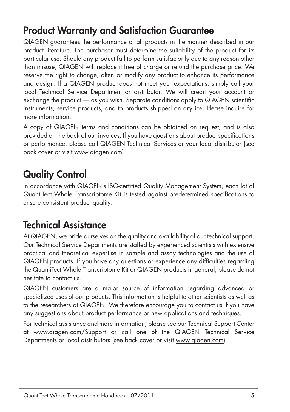### **Product Warranty and Satisfaction Guarantee**

QIAGEN guarantees the performance of all products in the manner described in our product literature. The purchaser must determine the suitability of the product for its particular use. Should any product fail to perform satisfactorily due to any reason other than misuse, QIAGEN will replace it free of charge or refund the purchase price. We reserve the right to change, alter, or modify any product to enhance its performance and design. If a QIAGEN product does not meet your expectations, simply call your local Technical Service Department or distributor. We will credit your account or exchange the product — as you wish. Separate conditions apply to QIAGEN scientific instruments, service products, and to products shipped on dry ice. Please inquire for more information.

A copy of QIAGEN terms and conditions can be obtained on request, and is also provided on the back of our invoices. If you have questions about product specifications or performance, please call QIAGEN Technical Services or your local distributor (see back cover or visit www.qiagen.com).

# **Quality Control**

In accordance with QIAGEN's ISO-certified Quality Management System, each lot of QuantiTect Whole Transcriptome Kit is tested against predetermined specifications to ensure consistent product quality.

### **Technical Assistance**

At QIAGEN, we pride ourselves on the quality and availability of our technical support. Our Technical Service Departments are staffed by experienced scientists with extensive practical and theoretical expertise in sample and assay technologies and the use of QIAGEN products. If you have any questions or experience any difficulties regarding the QuantiTect Whole Transcriptome Kit or QIAGEN products in general, please do not hesitate to contact us.

QIAGEN customers are a major source of information regarding advanced or specialized uses of our products. This information is helpful to other scientists as well as to the researchers at QIAGEN. We therefore encourage you to contact us if you have any suggestions about product performance or new applications and techniques.

For technical assistance and more information, please see our Technical Support Center at www.qiagen.com/Support or call one of the QIAGEN Technical Service Departments or local distributors (see back cover or visit www.qiagen.com).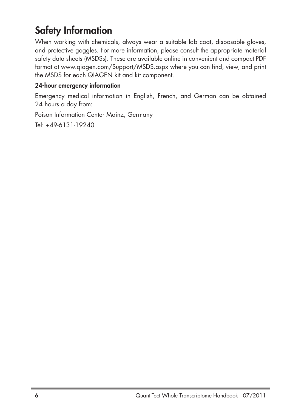## **Safety Information**

When working with chemicals, always wear a suitable lab coat, disposable gloves, and protective goggles. For more information, please consult the appropriate material safety data sheets (MSDSs). These are available online in convenient and compact PDF format at www.qiagen.com/Support/MSDS.aspx where you can find, view, and print the MSDS for each QIAGEN kit and kit component.

#### **24-hour emergency information**

Emergency medical information in English, French, and German can be obtained 24 hours a day from:

Poison Information Center Mainz, Germany

Tel: +49-6131-19240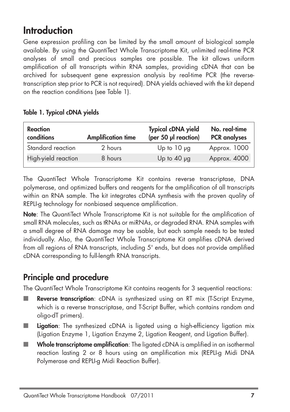### **Introduction**

Gene expression profiling can be limited by the small amount of biological sample available. By using the QuantiTect Whole Transcriptome Kit, unlimited real-time PCR analyses of small and precious samples are possible. The kit allows uniform amplification of all transcripts within RNA samples, providing cDNA that can be archived for subsequent gene expression analysis by real-time PCR (the reversetranscription step prior to PCR is not required). DNA yields achieved with the kit depend on the reaction conditions (see Table 1).

#### **Table 1. Typical cDNA yields**

| <b>Reaction</b><br>conditions<br><b>Amplification time</b> |         | <b>Typical cDNA yield</b><br>(per 50 µl reaction) | No. real-time<br><b>PCR</b> analyses |  |
|------------------------------------------------------------|---------|---------------------------------------------------|--------------------------------------|--|
| Standard reaction                                          | 2 hours | Up to $10 \mu$ g                                  | Approx. 1000                         |  |
| High-yield reaction                                        | 8 hours | Up to $40 \mu$ g                                  | Approx. 4000                         |  |

The QuantiTect Whole Transcriptome Kit contains reverse transcriptase, DNA polymerase, and optimized buffers and reagents for the amplification of all transcripts within an RNA sample. The kit integrates cDNA synthesis with the proven quality of REPLI-g technology for nonbiased sequence amplification.

**Note**: The QuantiTect Whole Transcriptome Kit is not suitable for the amplification of small RNA molecules, such as tRNAs or miRNAs, or degraded RNA. RNA samples with a small degree of RNA damage may be usable, but each sample needs to be tested individually. Also, the QuantiTect Whole Transcriptome Kit amplifies cDNA derived from all regions of RNA transcripts, including 5' ends, but does not provide amplified cDNA corresponding to full-length RNA transcripts.

### **Principle and procedure**

The QuantiTect Whole Transcriptome Kit contains reagents for 3 sequential reactions:

- **Reverse transcription**: cDNA is synthesized using an RT mix (T-Script Enzyme, which is a reverse transcriptase, and T-Script Buffer, which contains random and oligo-dT primers).
- **Ligation**: The synthesized cDNA is ligated using a high-efficiency ligation mix (Ligation Enzyme 1, Ligation Enzyme 2, Ligation Reagent, and Ligation Buffer).
- **Whole transcriptome amplification**: The ligated cDNA is amplified in an isothermal reaction lasting 2 or 8 hours using an amplification mix (REPLI-g Midi DNA Polymerase and REPLI-g Midi Reaction Buffer).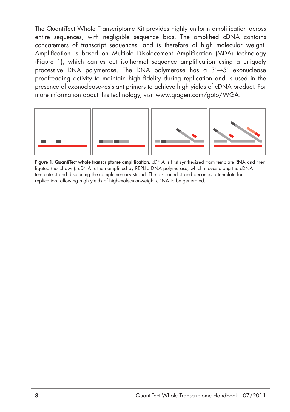The QuantiTect Whole Transcriptome Kit provides highly uniform amplification across entire sequences, with negligible sequence bias. The amplified cDNA contains concatemers of transcript sequences, and is therefore of high molecular weight. Amplification is based on Multiple Displacement Amplification (MDA) technology (Figure 1), which carries out isothermal sequence amplification using a uniquely processive DNA polymerase. The DNA polymerase has a 3'→5' exonuclease proofreading activity to maintain high fidelity during replication and is used in the presence of exonuclease-resistant primers to achieve high yields of cDNA product. For more information about this technology, visit www.qiagen.com/goto/WGA.



**Figure 1. QuantiTect whole transcriptome amplification.** cDNA is first synthesized from template RNA and then ligated (not shown). cDNA is then amplified by REPLI-g DNA polymerase, which moves along the cDNA template strand displacing the complementary strand. The displaced strand becomes a template for replication, allowing high yields of high-molecular-weight cDNA to be generated.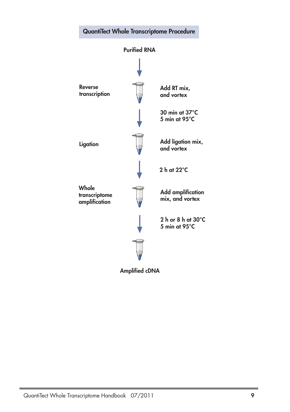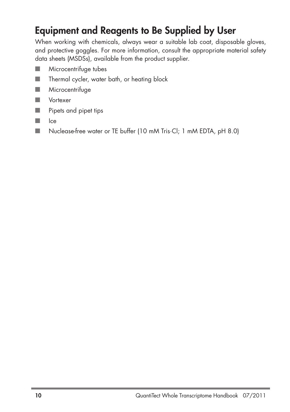### **Equipment and Reagents to Be Supplied by User**

When working with chemicals, always wear a suitable lab coat, disposable gloves, and protective goggles. For more information, consult the appropriate material safety data sheets (MSDSs), available from the product supplier.

- **Microcentrifuge tubes**
- Thermal cycler, water bath, or heating block
- Microcentrifuge
- Vortexer
- Pipets and pipet tips
- Ice
- Nuclease-free water or TE buffer (10 mM Tris·Cl; 1 mM EDTA, pH 8.0)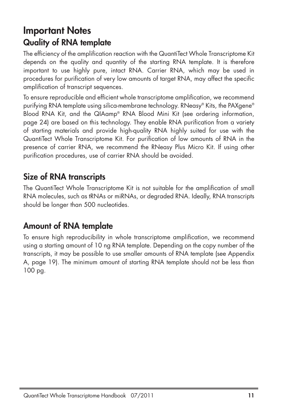### **Important Notes Quality of RNA template**

The efficiency of the amplification reaction with the QuantiTect Whole Transcriptome Kit depends on the quality and quantity of the starting RNA template. It is therefore important to use highly pure, intact RNA. Carrier RNA, which may be used in procedures for purification of very low amounts of target RNA, may affect the specific amplification of transcript sequences.

To ensure reproducible and efficient whole transcriptome amplification, we recommend purifying RNA template using silica-membrane technology. RNeasy® Kits, the PAXgene® Blood RNA Kit, and the QIAamp® RNA Blood Mini Kit (see ordering information, page 24) are based on this technology. They enable RNA purification from a variety of starting materials and provide high-quality RNA highly suited for use with the QuantiTect Whole Transcriptome Kit. For purification of low amounts of RNA in the presence of carrier RNA, we recommend the RNeasy Plus Micro Kit. If using other purification procedures, use of carrier RNA should be avoided.

### **Size of RNA transcripts**

The QuantiTect Whole Transcriptome Kit is not suitable for the amplification of small RNA molecules, such as tRNAs or miRNAs, or degraded RNA. Ideally, RNA transcripts should be longer than 500 nucleotides.

### **Amount of RNA template**

To ensure high reproducibility in whole transcriptome amplification, we recommend using a starting amount of 10 ng RNA template. Depending on the copy number of the transcripts, it may be possible to use smaller amounts of RNA template (see Appendix A, page 19). The minimum amount of starting RNA template should not be less than 100 pg.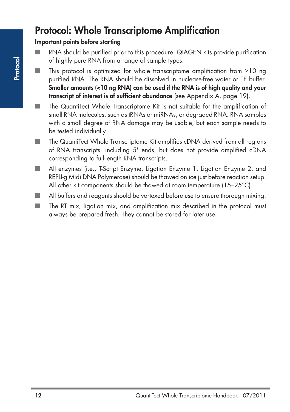### **Protocol: Whole Transcriptome Amplification**

#### **Important points before starting**

- RNA should be purified prior to this procedure. QIAGEN kits provide purification of highly pure RNA from a range of sample types.
- $\blacksquare$  This protocol is optimized for whole transcriptome amplification from <code>≥10</code> ng purified RNA. The RNA should be dissolved in nuclease-free water or TE buffer. **Smaller amounts (<10 ng RNA) can be used if the RNA is of high quality and your transcript of interest is of sufficient abundance** (see Appendix A, page 19).
- The QuantiTect Whole Transcriptome Kit is not suitable for the amplification of small RNA molecules, such as tRNAs or miRNAs, or degraded RNA. RNA samples with a small degree of RNA damage may be usable, but each sample needs to be tested individually.
- The QuantiTect Whole Transcriptome Kit amplifies cDNA derived from all regions of RNA transcripts, including 5' ends, but does not provide amplified cDNA corresponding to full-length RNA transcripts.
- All enzymes (i.e., T-Script Enzyme, Ligation Enzyme 1, Ligation Enzyme 2, and REPLI-g Midi DNA Polymerase) should be thawed on ice just before reaction setup. All other kit components should be thawed at room temperature (15–25°C).
- All buffers and reagents should be vortexed before use to ensure thorough mixing.
- The RT mix, ligation mix, and amplification mix described in the protocol must always be prepared fresh. They cannot be stored for later use.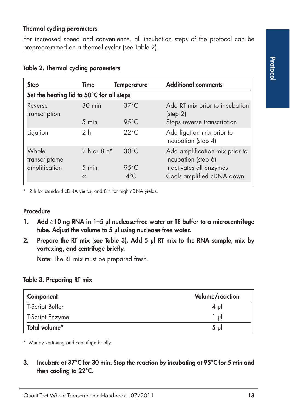#### **Thermal cycling parameters**

For increased speed and convenience, all incubation steps of the protocol can be preprogrammed on a thermal cycler (see Table 2).

| <b>Step</b>                               | Time                        | <b>Temperature</b>              | <b>Additional comments</b>                             |
|-------------------------------------------|-----------------------------|---------------------------------|--------------------------------------------------------|
| Set the heating lid to 50°C for all steps |                             |                                 |                                                        |
| Reverse<br>transcription                  | 30 min                      | $37^{\circ}$ C                  | Add RT mix prior to incubation<br>$(s_{\text{top}} 2)$ |
|                                           | 5 min                       | $95^{\circ}$ C                  | Stops reverse transcription                            |
| Ligation                                  | 2 <sub>h</sub>              | $22^{\circ}$ C                  | Add ligation mix prior to<br>incubation (step 4)       |
| Whole<br>transcriptome                    | $2h$ or $8h$ *              | $30^{\circ}$ C                  | Add amplification mix prior to<br>incubation (step 6)  |
| amplification                             | $5 \text{ min}$<br>$\infty$ | $95^{\circ}$ C<br>$4^{\circ}$ C | Inactivates all enzymes<br>Cools amplified cDNA down   |

#### **Table 2. Thermal cycling parameters**

\* 2 h for standard cDNA yields, and 8 h for high cDNA yields.

#### **Procedure**

- **1.** Add ≥10 ng RNA in 1–5 µl nuclease-free water or TE buffer to a microcentrifuge **tube. Adjust the volume to 5 µl using nuclease-free water.**
- **2. Prepare the RT mix (see Table 3). Add 5 µl RT mix to the RNA sample, mix by vortexing, and centrifuge briefly.**

**Note**: The RT mix must be prepared fresh.

#### **Table 3. Preparing RT mix**

| Volume/reaction<br>Component |                |
|------------------------------|----------------|
| T-Script Buffer              | $4 \mu$        |
| T-Script Enzyme              | 1 ul           |
| Total volume*                | 5 <sub>u</sub> |

\* Mix by vortexing and centrifuge briefly.

**3. Incubate at 37°C for 30 min. Stop the reaction by incubating at 95°C for 5 min and then cooling to 22°C.**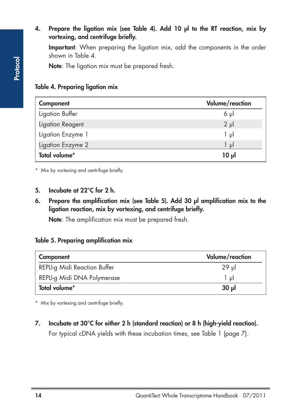#### **4. Prepare the ligation mix (see Table 4). Add 10 µl to the RT reaction, mix by vortexing, and centrifuge briefly.**

**Important**: When preparing the ligation mix, add the components in the order shown in Table 4.

**Note**: The ligation mix must be prepared fresh.

#### **Table 4. Preparing ligation mix**

| Component         | Volume/reaction |
|-------------------|-----------------|
| Ligation Buffer   | $6 \mu$         |
| Ligation Reagent  | $2 \mu$         |
| Ligation Enzyme 1 | ار 1            |
| Ligation Enzyme 2 | 1 ul            |
| Total volume*     | 10 <sub>µ</sub> |

\* Mix by vortexing and centrifuge briefly.

#### **5. Incubate at 22°C for 2 h.**

**6. Prepare the amplification mix (see Table 5). Add 30 µl amplification mix to the ligation reaction, mix by vortexing, and centrifuge briefly.**

**Note**: The amplification mix must be prepared fresh.

#### **Table 5. Preparing amplification mix**

| Component                    | Volume/reaction |
|------------------------------|-----------------|
| REPLI-g Midi Reaction Buffer | 29 ul           |
| REPLI-g Midi DNA Polymerase  | 1 ul            |
| Total volume*                | 30 <sub>u</sub> |

\* Mix by vortexing and centrifuge briefly.

**7. Incubate at 30°C for either 2 h (standard reaction) or 8 h (high-yield reaction).** For typical cDNA yields with these incubation times, see Table 1 (page 7).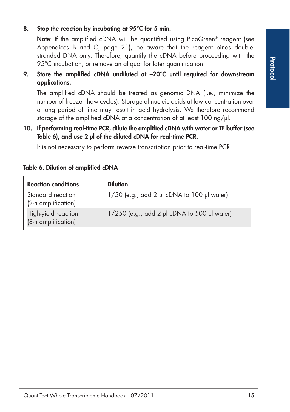#### **8. Stop the reaction by incubating at 95°C for 5 min.**

**Note**: If the amplified cDNA will be quantified using PicoGreen<sup>®</sup> reagent (see Appendices B and C, page 21), be aware that the reagent binds doublestranded DNA only. Therefore, quantify the cDNA before proceeding with the 95°C incubation, or remove an aliquot for later quantification.

**9. Store the amplified cDNA undiluted at –20°C until required for downstream applications.**

The amplified cDNA should be treated as genomic DNA (i.e., minimize the number of freeze–thaw cycles). Storage of nucleic acids at low concentration over a long period of time may result in acid hydrolysis. We therefore recommend storage of the amplified cDNA at a concentration of at least 100 ng/ $\mu$ l.

**10. If performing real-time PCR, dilute the amplified cDNA with water or TE buffer (see Table 6), and use 2 µl of the diluted cDNA for real-time PCR.**

It is not necessary to perform reverse transcription prior to real-time PCR.

| <b>Reaction conditions</b>                 | <b>Dilution</b>                             |
|--------------------------------------------|---------------------------------------------|
| Standard reaction<br>(2-h amplification)   | 1/50 (e.g., add 2 µl cDNA to 100 µl water)  |
| High-yield reaction<br>(8-h amplification) | 1/250 (e.g., add 2 µl cDNA to 500 µl water) |

#### **Table 6. Dilution of amplified cDNA**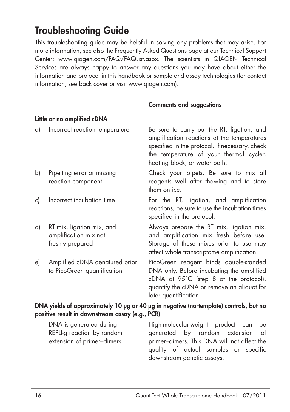### **Troubleshooting Guide**

This troubleshooting guide may be helpful in solving any problems that may arise. For more information, see also the Frequently Asked Questions page at our Technical Support Center: www.qiagen.com/FAQ/FAQList.aspx. The scientists in QIAGEN Technical Services are always happy to answer any questions you may have about either the information and protocol in this handbook or sample and assay technologies (for contact information, see back cover or visit www.qiagen.com).

|                                                                                                                                          | Little or no amplified cDNA                                            |                                                                                                                                                                                                                         |  |
|------------------------------------------------------------------------------------------------------------------------------------------|------------------------------------------------------------------------|-------------------------------------------------------------------------------------------------------------------------------------------------------------------------------------------------------------------------|--|
| a)                                                                                                                                       | Incorrect reaction temperature                                         | Be sure to carry out the RT, ligation, and<br>amplification reactions at the temperatures<br>specified in the protocol. If necessary, check<br>the temperature of your thermal cycler,<br>heating block, or water bath. |  |
| b)                                                                                                                                       | Pipetting error or missing<br>reaction component                       | Check your pipets. Be sure to mix all<br>reagents well after thawing and to store<br>them on ice.                                                                                                                       |  |
| c)                                                                                                                                       | Incorrect incubation time                                              | For the RT, ligation, and amplification<br>reactions, be sure to use the incubation times<br>specified in the protocol.                                                                                                 |  |
| d)                                                                                                                                       | RT mix, ligation mix, and<br>amplification mix not<br>freshly prepared | Always prepare the RT mix, ligation mix,<br>and amplification mix fresh before use.<br>Storage of these mixes prior to use may<br>affect whole transcriptome amplification.                                             |  |
| e)                                                                                                                                       | Amplified cDNA denatured prior<br>to PicoGreen quantification          | PicoGreen reagent binds double-standed<br>DNA only. Before incubating the amplified<br>cDNA at 95°C (step 8 of the protocol),<br>quantify the cDNA or remove an aliquot for<br>later quantification.                    |  |
| DNA yields of approximately 10 µg or 40 µg in negative (no-template) controls, but no<br>positive result in downstream assay (e.g., PCR) |                                                                        |                                                                                                                                                                                                                         |  |
|                                                                                                                                          |                                                                        |                                                                                                                                                                                                                         |  |

#### **Comments and suggestions**

DNA is generated during entirely discribute high-molecular-weight product REPLI-g reaction by random generated by random extension of extension of primer–dimers primer–dimers. This DNA will not affect the quality of actual samples or specific downstream genetic assays.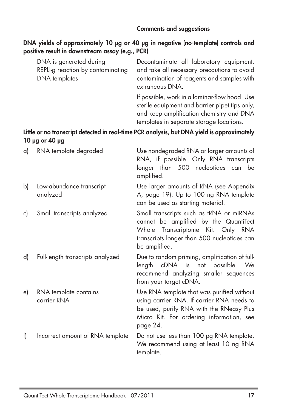|    | DNA is generated during<br>REPLI-g reaction by contaminating<br><b>DNA</b> templates | Decontaminate all laboratory equipment,<br>and take all necessary precautions to avoid<br>contamination of reagents and samples with<br>extraneous DNA.                                      |
|----|--------------------------------------------------------------------------------------|----------------------------------------------------------------------------------------------------------------------------------------------------------------------------------------------|
|    |                                                                                      | If possible, work in a laminar-flow hood. Use<br>sterile equipment and barrier pipet tips only,<br>and keep amplification chemistry and DNA<br>templates in separate storage locations.      |
|    | 10 µg or 40 µg                                                                       | Little or no transcript detected in real-time PCR analysis, but DNA yield is approximately                                                                                                   |
| a) | RNA template degraded                                                                | Use nondegraded RNA or larger amounts of<br>RNA, if possible. Only RNA transcripts<br>longer than 500 nucleotides can be<br>amplified.                                                       |
| b) | Low-abundance transcript<br>analyzed                                                 | Use larger amounts of RNA (see Appendix<br>A, page 19). Up to 100 ng RNA template<br>can be used as starting material.                                                                       |
| c) | Small transcripts analyzed                                                           | Small transcripts such as tRNA or miRNAs<br>cannot be amplified by the QuantiTect<br>Transcriptome Kit. Only RNA<br>Whole<br>transcripts longer than 500 nucleotides can<br>be amplified.    |
| d) | Full-length transcripts analyzed                                                     | Due to random priming, amplification of full-<br>cDNA<br>possible.<br>length<br>not<br>is<br>We<br>recommend analyzing smaller sequences<br>from your target cDNA.                           |
| e) | RNA template contains<br>carrier RNA                                                 | Use RNA template that was purified without<br>using carrier RNA. If carrier RNA needs to<br>be used, purify RNA with the RNeasy Plus<br>Micro Kit. For ordering information, see<br>page 24. |
| f) | Incorrect amount of RNA template                                                     | Do not use less than 100 pg RNA template.<br>We recommend using at least 10 ng RNA<br>template.                                                                                              |

### **DNA yields of approximately 10 µg or 40 µg in negative (no-template) controls and positive result in downstream assay (e.g., PCR)**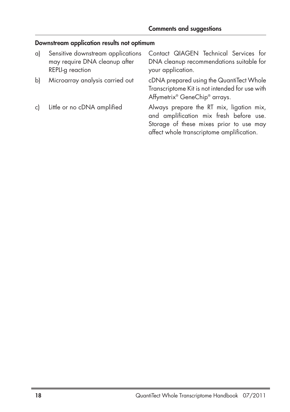### **Downstream application results not optimum**

| a) | Sensitive downstream applications<br>may require DNA cleanup after<br>REPLI-g reaction | Contact QIAGEN Technical Services for<br>DNA cleanup recommendations suitable for<br>your application.                                                                      |
|----|----------------------------------------------------------------------------------------|-----------------------------------------------------------------------------------------------------------------------------------------------------------------------------|
| bl | Microarray analysis carried out                                                        | cDNA prepared using the QuantiTect Whole<br>Transcriptome Kit is not intended for use with<br>Affymetrix® GeneChip® arrays.                                                 |
| c) | Little or no cDNA amplified                                                            | Always prepare the RT mix, ligation mix,<br>and amplification mix fresh before use.<br>Storage of these mixes prior to use may<br>affect whole transcriptome amplification. |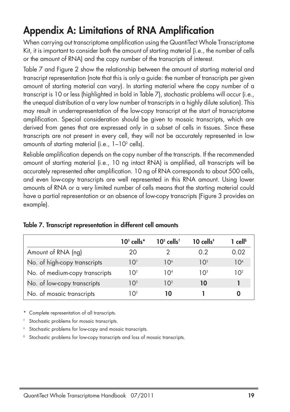## **Appendix A: Limitations of RNA Amplification**

When carrying out transcriptome amplification using the QuantiTect Whole Transcriptome Kit, it is important to consider both the amount of starting material (i.e., the number of cells or the amount of RNA) and the copy number of the transcripts of interest.

Table 7 and Figure 2 show the relationship between the amount of starting material and transcript representation (note that this is only a guide: the number of transcripts per given amount of starting material can vary). In starting material where the copy number of a transcript is 10 or less (highlighted in bold in Table 7), stochastic problems will occur (i.e., the unequal distribution of a very low number of transcripts in a highly dilute solution). This may result in underrepresentation of the low-copy transcript at the start of transcriptome amplification. Special consideration should be given to mosaic transcripts, which are derived from genes that are expressed only in a subset of cells in tissues. Since these transcripts are not present in every cell, they will not be accurately represented in low amounts of starting material (i.e.,  $1-10^2$  cells).

Reliable amplification depends on the copy number of the transcripts. If the recommended amount of starting material (i.e., 10 ng intact RNA) is amplified, all transcripts will be accurately represented after amplification. 10 ng of RNA corresponds to about 500 cells, and even low-copy transcripts are well represented in this RNA amount. Using lower amounts of RNA or a very limited number of cells means that the starting material could have a partial representation or an absence of low-copy transcripts (Figure 3 provides an example).

|                                | $103$ cells*     | $102$ cells <sup>†</sup> | 10 cells $\overline{\ }$ | $1$ cell <sup>s</sup> |
|--------------------------------|------------------|--------------------------|--------------------------|-----------------------|
| Amount of RNA (ng)             | 20               |                          | 0.2                      | 0.02                  |
| No. of high-copy transcripts   | 107              | 10 <sup>6</sup>          | 10 <sup>5</sup>          | 10 <sup>4</sup>       |
| No. of medium-copy transcripts | 10 <sup>5</sup>  | 104                      | 10 <sup>3</sup>          | 10 <sup>2</sup>       |
| No. of low-copy transcripts    | 10 <sup>3</sup>  | 10 <sup>2</sup>          | 10                       |                       |
| No. of mosaic transcripts      | I റ <sup>2</sup> | 10                       |                          |                       |

#### **Table 7. Transcript representation in different cell amounts**

\* Complete representation of all transcripts.

Stochastic problems for mosaic transcripts.

Stochastic problems for low-copy and mosaic transcripts.

§ Stochastic problems for low-copy transcripts and loss of mosaic transcripts.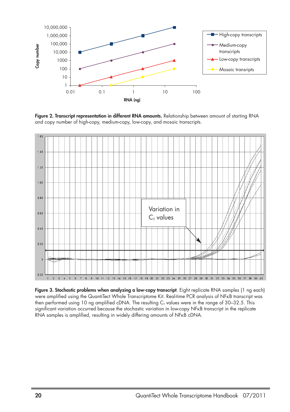

**Figure 2. Transcript representation in different RNA amounts.** Relationship between amount of starting RNA and copy number of high-copy, medium-copy, low-copy, and mosaic transcripts.



**Figure 3. Stochastic problems when analyzing a low-copy transcript**. Eight replicate RNA samples (1 ng each) were amplified using the QuantiTect Whole Transcriptome Kit. Real-time PCR analysis of NFκB transcript was then performed using 10 ng amplified cDNA. The resulting  $C_T$  values were in the range of 30–32.5. This significant variation occurred because the stochastic variation in low-copy NFKB transcript in the replicate RNA samples is amplified, resulting in widely differing amounts of NFκB cDNA.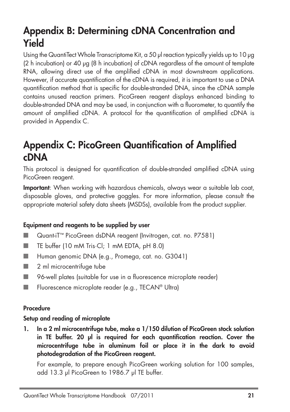### **Appendix B: Determining cDNA Concentration and Yield**

Using the QuantiTect Whole Transcriptome Kit, a 50 µl reaction typically yields up to 10 µg (2 h incubation) or 40 µg (8 h incubation) of cDNA regardless of the amount of template RNA, allowing direct use of the amplified cDNA in most downstream applications. However, if accurate quantification of the cDNA is required, it is important to use a DNA quantification method that is specific for double-stranded DNA, since the cDNA sample contains unused reaction primers. PicoGreen reagent displays enhanced binding to double-stranded DNA and may be used, in conjunction with a fluorometer, to quantify the amount of amplified cDNA. A protocol for the quantification of amplified cDNA is provided in Appendix C.

### **Appendix C: PicoGreen Quantification of Amplified cDNA**

This protocol is designed for quantification of double-stranded amplified cDNA using PicoGreen reagent.

**Important**: When working with hazardous chemicals, always wear a suitable lab coat, disposable gloves, and protective goggles. For more information, please consult the appropriate material safety data sheets (MSDSs), available from the product supplier.

### **Equipment and reagents to be supplied by user**

- Quant-iT<sup>™</sup> PicoGreen dsDNA reagent (Invitrogen, cat. no. P7581)
- TE buffer (10 mM Tris·Cl; 1 mM EDTA, pH 8.0)
- Human genomic DNA (e.g., Promega, cat. no. G3041)
- 2 ml microcentrifuge tube
- 96-well plates (suitable for use in a fluorescence microplate reader)
- Fluorescence microplate reader (e.g., TECAN® Ultra)

#### **Procedure**

#### **Setup and reading of microplate**

**1. In a 2 ml microcentrifuge tube, make a 1/150 dilution of PicoGreen stock solution in TE buffer. 20 µl is required for each quantification reaction. Cover the microcentrifuge tube in aluminum foil or place it in the dark to avoid photodegradation of the PicoGreen reagent.**

For example, to prepare enough PicoGreen working solution for 100 samples, add 13.3 µl PicoGreen to 1986.7 µl TE buffer.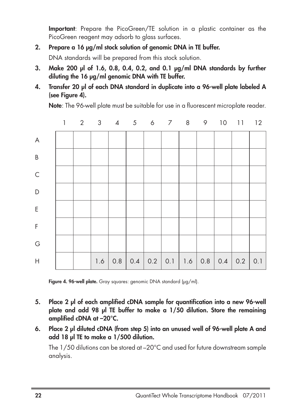**Important**: Prepare the PicoGreen/TE solution in a plastic container as the PicoGreen reagent may adsorb to glass surfaces.

#### **2. Prepare a 16 µg/ml stock solution of genomic DNA in TE buffer.**

DNA standards will be prepared from this stock solution.

- **3. Make 200 µl of 1.6, 0.8, 0.4, 0.2, and 0.1 µg/ml DNA standards by further diluting the 16 µg/ml genomic DNA with TE buffer.**
- **4. Transfer 20 µl of each DNA standard in duplicate into a 96-well plate labeled A (see Figure 4).**

**Note**: The 96-well plate must be suitable for use in a fluorescent microplate reader.



Figure 4. 96-well plate. Gray squares: genomic DNA standard (µg/ml).

- **5. Place 2 µl of each amplified cDNA sample for quantification into a new 96-well plate and add 98 µl TE buffer to make a 1/50 dilution. Store the remaining amplified cDNA at –20°C.**
- **6. Place 2 µl diluted cDNA (from step 5) into an unused well of 96-well plate A and add 18 µl TE to make a 1/500 dilution.**

The 1/50 dilutions can be stored at –20°C and used for future downstream sample analysis.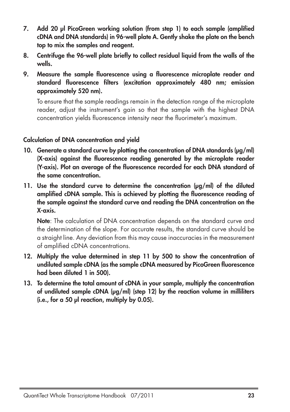- **7. Add 20 µl PicoGreen working solution (from step 1) to each sample (amplified cDNA and DNA standards) in 96-well plate A. Gently shake the plate on the bench top to mix the samples and reagent.**
- **8. Centrifuge the 96-well plate briefly to collect residual liquid from the walls of the wells.**
- **9. Measure the sample fluorescence using a fluorescence microplate reader and standard fluorescence filters (excitation approximately 480 nm; emission approximately 520 nm).**

To ensure that the sample readings remain in the detection range of the microplate reader, adjust the instrument's gain so that the sample with the highest DNA concentration yields fluorescence intensity near the fluorimeter's maximum.

#### **Calculation of DNA concentration and yield**

- **10. Generate a standard curve by plotting the concentration of DNA standards (µg/ml) (X-axis) against the fluorescence reading generated by the microplate reader (Y-axis). Plot an average of the fluorescence recorded for each DNA standard of the same concentration.**
- **11. Use the standard curve to determine the concentration (µg/ml) of the diluted amplified cDNA sample. This is achieved by plotting the fluorescence reading of the sample against the standard curve and reading the DNA concentration on the X-axis.**

**Note**: The calculation of DNA concentration depends on the standard curve and the determination of the slope. For accurate results, the standard curve should be a straight line. Any deviation from this may cause inaccuracies in the measurement of amplified cDNA concentrations.

- **12. Multiply the value determined in step 11 by 500 to show the concentration of undiluted sample cDNA (as the sample cDNA measured by PicoGreen fluorescence had been diluted 1 in 500).**
- **13. To determine the total amount of cDNA in your sample, multiply the concentration of undiluted sample cDNA (µg/ml) (step 12) by the reaction volume in milliliters (i.e., for a 50 µl reaction, multiply by 0.05).**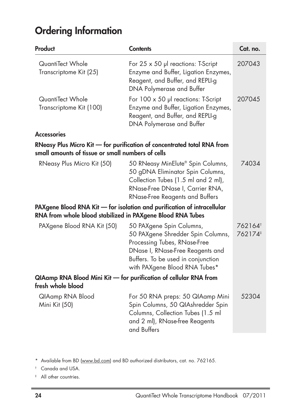## **Ordering Information**

| Product                                                                                                                               | <b>Contents</b>                                                                                                                                                                                          | Cat. no.         |  |
|---------------------------------------------------------------------------------------------------------------------------------------|----------------------------------------------------------------------------------------------------------------------------------------------------------------------------------------------------------|------------------|--|
| QuantiTect Whole<br>Transcriptome Kit (25)                                                                                            | For 25 x 50 µl reactions: T-Script<br>Enzyme and Buffer, Ligation Enzymes,<br>Reagent, and Buffer, and REPLI-g<br>DNA Polymerase and Buffer                                                              | 207043           |  |
| QuantiTect Whole<br>Transcriptome Kit (100)                                                                                           | For 100 x 50 µl reactions: T-Script<br>Enzyme and Buffer, Ligation Enzymes,<br>Reagent, and Buffer, and REPLI-g<br>DNA Polymerase and Buffer                                                             | 207045           |  |
| <b>Accessories</b>                                                                                                                    |                                                                                                                                                                                                          |                  |  |
| RNeasy Plus Micro Kit - for purification of concentrated total RNA from<br>small amounts of tissue or small numbers of cells          |                                                                                                                                                                                                          |                  |  |
| RNeasy Plus Micro Kit (50)                                                                                                            | 50 RNeasy MinElute® Spin Columns,<br>50 gDNA Eliminator Spin Columns,<br>Collection Tubes (1.5 ml and 2 ml),<br>RNase-Free DNase I, Carrier RNA,<br><b>RNase-Free Reagents and Buffers</b>               | 74034            |  |
| PAXgene Blood RNA Kit - for isolation and purification of intracellular<br>RNA from whole blood stabilized in PAXgene Blood RNA Tubes |                                                                                                                                                                                                          |                  |  |
| PAXgene Blood RNA Kit (50)                                                                                                            | 50 PAXgene Spin Columns,<br>50 PAXgene Shredder Spin Columns,<br>Processing Tubes, RNase-Free<br>DNase I, RNase-Free Reagents and<br>Buffers. To be used in conjunction<br>with PAXgene Blood RNA Tubes* | 762164<br>762174 |  |
| QIAamp RNA Blood Mini Kit - for purification of cellular RNA from<br>fresh whole blood                                                |                                                                                                                                                                                                          |                  |  |
| QIAamp RNA Blood<br>Mini Kit (50)                                                                                                     | For 50 RNA preps: 50 QIAamp Mini<br>Spin Columns, 50 QIAshredder Spin<br>Columns, Collection Tubes (1.5 ml<br>and 2 ml), RNase-free Reagents<br>and Buffers                                              | 52304            |  |

\* Available from BD (www.bd.com) and BD authorized distributors, cat. no. 762165.

† Canada and USA.

‡ All other countries.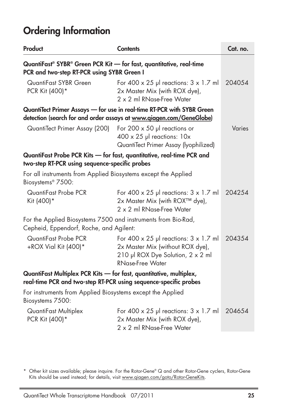### **Ordering Information**

| Product                                                                                                                                       | <b>Contents</b>                                                                                                                                       | Cat. no. |  |
|-----------------------------------------------------------------------------------------------------------------------------------------------|-------------------------------------------------------------------------------------------------------------------------------------------------------|----------|--|
| QuantiFast® SYBR® Green PCR Kit - for fast, quantitative, real-time<br>PCR and two-step RT-PCR using SYBR Green I                             |                                                                                                                                                       |          |  |
| QuantiFast SYBR Green<br>PCR Kit (400)*                                                                                                       | For $400 \times 25$ µ reactions: $3 \times 1.7$ ml<br>2x Master Mix (with ROX dye),<br>2 x 2 ml RNase-Free Water                                      | 204054   |  |
| QuantiTect Primer Assays - for use in real-time RT-PCR with SYBR Green<br>detection (search for and order assays at www.giagen.com/GeneGlobe) |                                                                                                                                                       |          |  |
| QuantiTect Primer Assay (200)                                                                                                                 | For 200 $\times$ 50 µl reactions or<br>$400 \times 25$ µl reactions: $10x$<br>QuantiTect Primer Assay (lyophilized)                                   | Varies   |  |
| QuantiFast Probe PCR Kits - for fast, quantitative, real-time PCR and<br>two-step RT-PCR using sequence-specific probes                       |                                                                                                                                                       |          |  |
| For all instruments from Applied Biosystems except the Applied<br>Biosystems® 7500:                                                           |                                                                                                                                                       |          |  |
| QuantiFast Probe PCR<br>Kit (400)*                                                                                                            | For 400 $\times$ 25 µl reactions: $3 \times 1.7$ ml<br>2x Master Mix (with ROX™ dye),<br>2 x 2 ml RNase-Free Water                                    | 204254   |  |
| For the Applied Biosystems 7500 and instruments from Bio-Rad,<br>Cepheid, Eppendorf, Roche, and Agilent:                                      |                                                                                                                                                       |          |  |
| QuantiFast Probe PCR<br>+ROX Vial Kit $(400)^*$                                                                                               | For 400 $\times$ 25 µ reactions: $3 \times 1.7$ m<br>2x Master Mix (without ROX dye),<br>210 µl ROX Dye Solution, 2 x 2 ml<br><b>RNase-Free Water</b> | 204354   |  |
| QuantiFast Multiplex PCR Kits - for fast, quantitative, multiplex,<br>real-time PCR and two-step RT-PCR using sequence-specific probes        |                                                                                                                                                       |          |  |
| For instruments from Applied Biosystems except the Applied<br>Biosystems 7500:                                                                |                                                                                                                                                       |          |  |
| QuantiFast Multiplex<br>PCR Kit (400)*                                                                                                        | For 400 $\times$ 25 µl reactions: $3 \times 1.7$ ml<br>2x Master Mix (with ROX dye),<br>2 x 2 ml RNase-Free Water                                     | 204654   |  |

\* Other kit sizes available; please inquire. For the Rotor-Gene® Q and other Rotor-Gene cyclers, Rotor-Gene Kits should be used instead; for details, visit www.qiagen.com/goto/Rotor-GeneKits.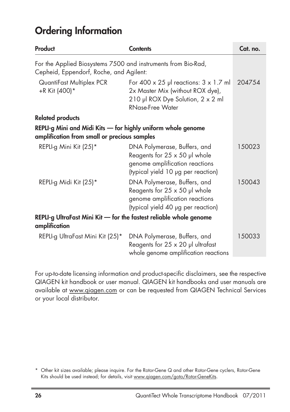### **Ordering Information**

| Product                                                                                                      | <b>Contents</b>                                                                                                                                       | Cat. no. |
|--------------------------------------------------------------------------------------------------------------|-------------------------------------------------------------------------------------------------------------------------------------------------------|----------|
| For the Applied Biosystems 7500 and instruments from Bio-Rad,<br>Cepheid, Eppendorf, Roche, and Agilent:     |                                                                                                                                                       |          |
| QuantiFast Multiplex PCR<br>+R Kit (400)*                                                                    | For 400 $\times$ 25 µ reactions: $3 \times 1.7$ m<br>2x Master Mix (without ROX dye),<br>210 µl ROX Dye Solution, 2 x 2 ml<br><b>RNase-Free Water</b> | 204754   |
| <b>Related products</b>                                                                                      |                                                                                                                                                       |          |
| REPLI-g Mini and Midi Kits — for highly uniform whole genome<br>amplification from small or precious samples |                                                                                                                                                       |          |
| REPLI-g Mini Kit (25)*                                                                                       | DNA Polymerase, Buffers, and<br>Reagents for $25 \times 50$ µl whole<br>genome amplification reactions<br>(typical yield 10 µg per reaction)          | 150023   |
| REPLI-g Midi Kit (25)*                                                                                       | DNA Polymerase, Buffers, and<br>Reagents for $25 \times 50$ µl whole<br>genome amplification reactions<br>(typical yield 40 µg per reaction)          | 150043   |
| REPLI-g UltraFast Mini Kit — for the fastest reliable whole genome<br>amplification                          |                                                                                                                                                       |          |
| REPLI-g UltraFast Mini Kit (25)*                                                                             | DNA Polymerase, Buffers, and<br>Reagents for $25 \times 20$ µl ultrafast<br>whole genome amplification reactions                                      | 150033   |

For up-to-date licensing information and product-specific disclaimers, see the respective QIAGEN kit handbook or user manual. QIAGEN kit handbooks and user manuals are available at www.qiagen.com or can be requested from QIAGEN Technical Services or your local distributor.

<sup>\*</sup> Other kit sizes available; please inquire. For the Rotor-Gene Q and other Rotor-Gene cyclers, Rotor-Gene Kits should be used instead; for details, visit www.qiagen.com/goto/Rotor-GeneKits.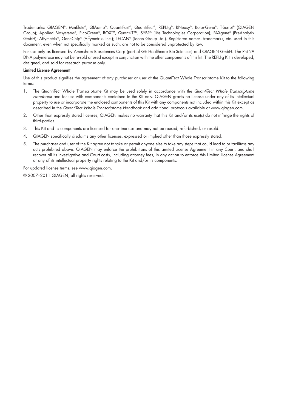Trademarks: QIAGEN®, MinElute®, QIAamp®, QuantiFast®, QuantiTect®, REPLI-g®, RNeasy®, Rotor-Gene®, T-Script® (QIAGEN Group); Applied Biosystems®, PicoGreen®, ROX™, Quant-iT™, SYBR® (Life Technologies Corporation); PAXgene® (PreAnalytix GmbH); Affymetrix®, GeneChip® (Affymetrix, Inc.); TECAN® (Tecan Group Ltd.). Registered names, trademarks, etc. used in this document, even when not specifically marked as such, are not to be considered unprotected by law.

For use only as licensed by Amersham Biosciences Corp (part of GE Healthcare Bio-Sciences) and QIAGEN GmbH. The Phi 29 DNA polymerase may not be re-sold or used except in conjunction with the other components of this kit. The REPLI-g Kit is developed, designed, and sold for research purpose only.

#### **Limited License Agreement**

Use of this product signifies the agreement of any purchaser or user of the QuantiTect Whole Transcriptome Kit to the following terms:

- 1. The QuantiTect Whole Transcriptome Kit may be used solely in accordance with the QuantiTect Whole Transcriptome Handbook and for use with components contained in the Kit only. QIAGEN grants no license under any of its intellectual property to use or incorporate the enclosed components of this Kit with any components not included within this Kit except as described in the QuantiTect Whole Transcriptome Handbook and additional protocols available at www.qiagen.com.
- 2. Other than expressly stated licenses, QIAGEN makes no warranty that this Kit and/or its use(s) do not infringe the rights of third-parties.
- 3. This Kit and its components are licensed for one-time use and may not be reused, refurbished, or resold.
- 4. QIAGEN specifically disclaims any other licenses, expressed or implied other than those expressly stated.
- 5. The purchaser and user of the Kit agree not to take or permit anyone else to take any steps that could lead to or facilitate any acts prohibited above. QIAGEN may enforce the prohibitions of this Limited License Agreement in any Court, and shall recover all its investigative and Court costs, including attorney fees, in any action to enforce this Limited License Agreement or any of its intellectual property rights relating to the Kit and/or its components.

For updated license terms, see www.qiagen.com.

© 2007–2011 QIAGEN, all rights reserved.